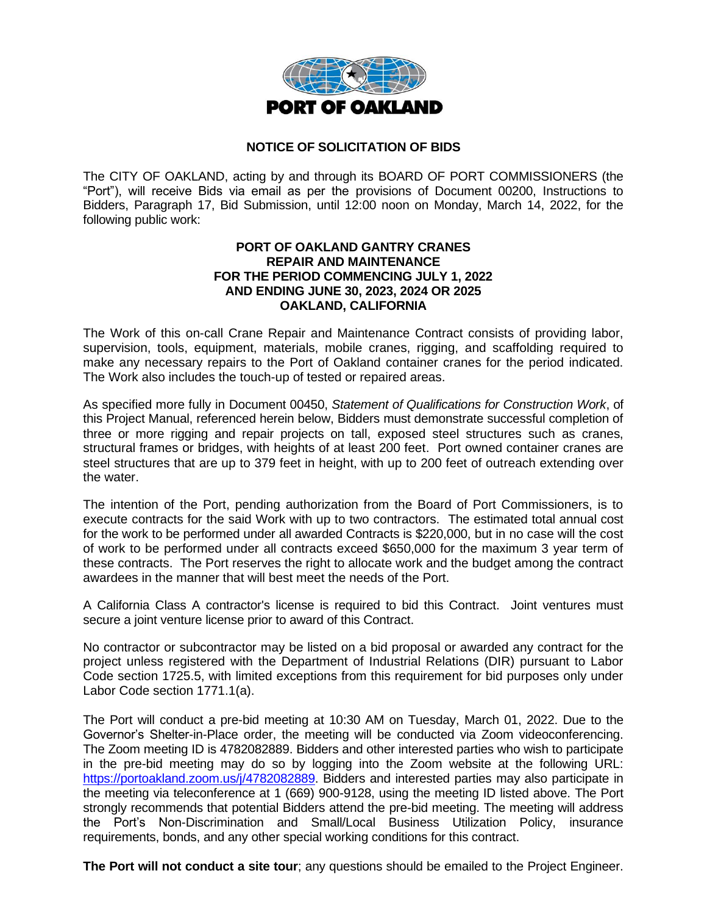

## **NOTICE OF SOLICITATION OF BIDS**

The CITY OF OAKLAND, acting by and through its BOARD OF PORT COMMISSIONERS (the "Port"), will receive Bids via email as per the provisions of Document 00200, Instructions to Bidders, Paragraph 17, Bid Submission, until 12:00 noon on Monday, March 14, 2022, for the following public work:

## **PORT OF OAKLAND GANTRY CRANES REPAIR AND MAINTENANCE FOR THE PERIOD COMMENCING JULY 1, 2022 AND ENDING JUNE 30, 2023, 2024 OR 2025 OAKLAND, CALIFORNIA**

The Work of this on-call Crane Repair and Maintenance Contract consists of providing labor, supervision, tools, equipment, materials, mobile cranes, rigging, and scaffolding required to make any necessary repairs to the Port of Oakland container cranes for the period indicated. The Work also includes the touch-up of tested or repaired areas.

As specified more fully in Document 00450, *Statement of Qualifications for Construction Work*, of this Project Manual, referenced herein below, Bidders must demonstrate successful completion of three or more rigging and repair projects on tall, exposed steel structures such as cranes, structural frames or bridges, with heights of at least 200 feet. Port owned container cranes are steel structures that are up to 379 feet in height, with up to 200 feet of outreach extending over the water.

The intention of the Port, pending authorization from the Board of Port Commissioners, is to execute contracts for the said Work with up to two contractors. The estimated total annual cost for the work to be performed under all awarded Contracts is \$220,000, but in no case will the cost of work to be performed under all contracts exceed \$650,000 for the maximum 3 year term of these contracts. The Port reserves the right to allocate work and the budget among the contract awardees in the manner that will best meet the needs of the Port.

A California Class A contractor's license is required to bid this Contract. Joint ventures must secure a joint venture license prior to award of this Contract.

No contractor or subcontractor may be listed on a bid proposal or awarded any contract for the project unless registered with the Department of Industrial Relations (DIR) pursuant to Labor Code section 1725.5, with limited exceptions from this requirement for bid purposes only under Labor Code section 1771.1(a).

The Port will conduct a pre-bid meeting at 10:30 AM on Tuesday, March 01, 2022. Due to the Governor's Shelter-in-Place order, the meeting will be conducted via Zoom videoconferencing. The Zoom meeting ID is 4782082889. Bidders and other interested parties who wish to participate in the pre-bid meeting may do so by logging into the Zoom website at the following URL: [https://portoakland.zoom.us/j/4782082889.](https://portoakland.zoom.us/j/4782082889) Bidders and interested parties may also participate in the meeting via teleconference at 1 (669) 900-9128, using the meeting ID listed above. The Port strongly recommends that potential Bidders attend the pre-bid meeting. The meeting will address the Port's Non-Discrimination and Small/Local Business Utilization Policy, insurance requirements, bonds, and any other special working conditions for this contract.

**The Port will not conduct a site tour**; any questions should be emailed to the Project Engineer.